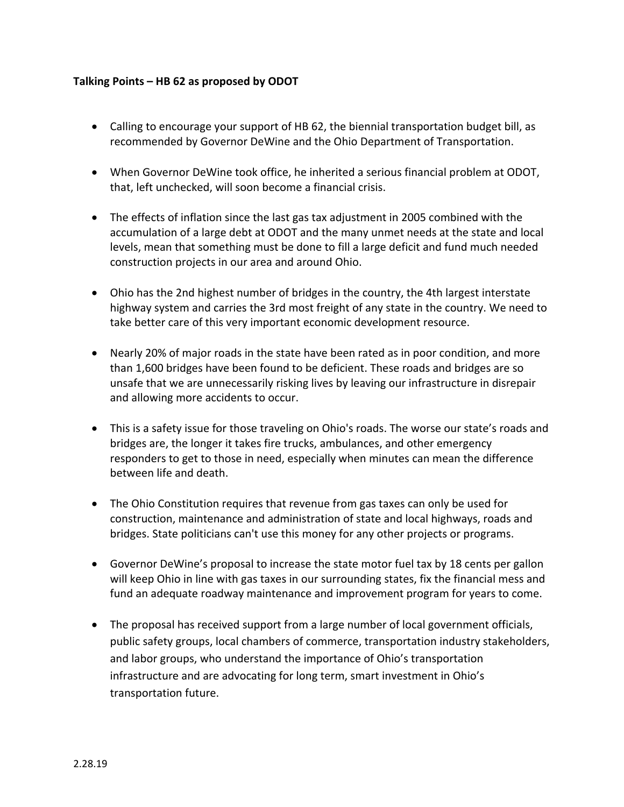## **Talking Points – HB 62 as proposed by ODOT**

- Calling to encourage your support of HB 62, the biennial transportation budget bill, as recommended by Governor DeWine and the Ohio Department of Transportation.
- When Governor DeWine took office, he inherited a serious financial problem at ODOT, that, left unchecked, will soon become a financial crisis.
- The effects of inflation since the last gas tax adjustment in 2005 combined with the accumulation of a large debt at ODOT and the many unmet needs at the state and local levels, mean that something must be done to fill a large deficit and fund much needed construction projects in our area and around Ohio.
- Ohio has the 2nd highest number of bridges in the country, the 4th largest interstate highway system and carries the 3rd most freight of any state in the country. We need to take better care of this very important economic development resource.
- Nearly 20% of major roads in the state have been rated as in poor condition, and more than 1,600 bridges have been found to be deficient. These roads and bridges are so unsafe that we are unnecessarily risking lives by leaving our infrastructure in disrepair and allowing more accidents to occur.
- This is a safety issue for those traveling on Ohio's roads. The worse our state's roads and bridges are, the longer it takes fire trucks, ambulances, and other emergency responders to get to those in need, especially when minutes can mean the difference between life and death.
- The Ohio Constitution requires that revenue from gas taxes can only be used for construction, maintenance and administration of state and local highways, roads and bridges. State politicians can't use this money for any other projects or programs.
- Governor DeWine's proposal to increase the state motor fuel tax by 18 cents per gallon will keep Ohio in line with gas taxes in our surrounding states, fix the financial mess and fund an adequate roadway maintenance and improvement program for years to come.
- The proposal has received support from a large number of local government officials, public safety groups, local chambers of commerce, transportation industry stakeholders, and labor groups, who understand the importance of Ohio's transportation infrastructure and are advocating for long term, smart investment in Ohio's transportation future.